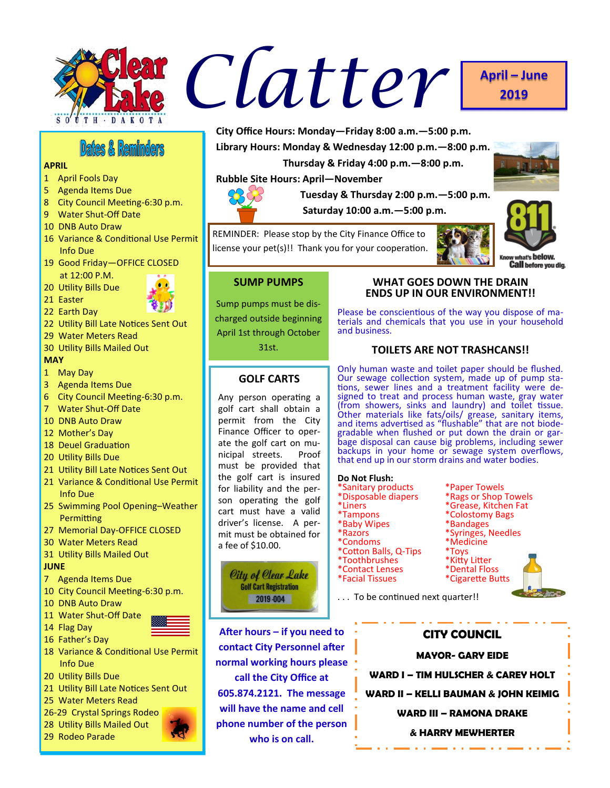

# **2019**

**Dates & Reminders** 

# **APRIL**

- 1 April Fools Day
- 5 Agenda Items Due
- 8 City Council Meeting-6:30 p.m.
- 9 Water Shut-Off Date
- 10 DNB Auto Draw
- 16 Variance & Conditional Use Permit Info Due
- 19 Good Friday—OFFICE CLOSED at 12:00 P.M.

20 Utility Bills Due



22 Earth Day



- 22 Utility Bill Late Notices Sent Out
- 29 Water Meters Read
- 30 Utility Bills Mailed Out

# **MAY**

# 1 May Day

- 3 Agenda Items Due
- 6 City Council Meeting-6:30 p.m.
- 7 Water Shut-Off Date
- 10 DNB Auto Draw
- 12 Mother's Day
- 18 Deuel Graduation
- 20 Utility Bills Due
- 21 Utility Bill Late Notices Sent Out
- 21 Variance & Conditional Use Permit Info Due
- 25 Swimming Pool Opening–Weather **Permitting**
- 27 Memorial Day-OFFICE CLOSED
- 30 Water Meters Read
- 31 Utility Bills Mailed Out

# **JUNE**

- 7 Agenda Items Due
- 10 City Council Meeting-6:30 p.m.
- 10 DNB Auto Draw
- 11 Water Shut-Off Date
- 14 Flag Day 16 Father's Day



- 18 Variance & Conditional Use Permit Info Due
- 20 Utility Bills Due
- 21 Utility Bill Late Notices Sent Out
- 25 Water Meters Read
- 26-29 Crystal Springs Rodeo
- 28 Utility Bills Mailed Out
- 29 Rodeo Parade





# **SUMP PUMPS**

Sump pumps must be discharged outside beginning April 1st through October

permit from the City Finance Officer to operate the golf cart on municipal streets. Proof must be provided that the golf cart is insured for liability and the person operating the golf cart must have a valid driver's license. A permit must be obtained for a fee of \$10.00.

> City of Clear Lake **Golf Cart Registration** 2019-004

**After hours – if you need to contact City Personnel after normal working hours please call the City Office at 605.874.2121. The message will have the name and cell phone number of the person who is on call.**

# **WHAT GOES DOWN THE DRAIN ENDS UP IN OUR ENVIRONMENT!!**

Please be conscientious of the way you dispose of materials and chemicals that you use in your household and business.

# **TOILETS ARE NOT TRASHCANS!!**

Only human waste and toilet paper should be flushed. Our sewage collection system, made up of pump stations, sewer lines and a treatment facility were designed to treat and process human waste, gray water (from showers, sinks and laundry) and toilet tissue. Other materials like fats/oils/ grease, sanitary items, and items advertised as "flushable" that are not biodegradable when flushed or put down the drain or garbage disposal can cause big problems, including sewer backups in your home or sewage system overflows, that end up in our storm drains and water bodies.

#### **Do Not Flush:**

- \*Sanitary products \*\*\* \*\* <mark>\*Paper Towels</mark><br>\*Disposable diapers \*\*\* \*\* Rags or Shop Towels
- \*Disposable diapers<br>\*Liners
- \*Liners \*Grease, Kitchen Fat
- \*Baby Wipes<br>\*Razors
- 
- 
- \*Condoms \*Medi<br>\*Cotton Balls, Q-Tips \*Toys \*Cotton Balls, Q-Tips \*Toys<br>\*Toothbrushes \*Kitty Litter
- \*Toothbrushes \*Kitty Litter<br>\*Contact Lenses \*Dental Floss
- \*Contact Lenses<br>\*Facial Tissues
- 
- 
- 

. . . To be continued next quarter!!



\*Colostomy Bags<br>\*Bandages

\*Syringes, Needles<br>\*Medicine

**MAYOR- GARY EIDE**

**WARD I – TIM HULSCHER & CAREY HOLT**

**WARD II – KELLI BAUMAN & JOHN KEIMIG**

**WARD III – RAMONA DRAKE**

**& HARRY MEWHERTER**

**City Office Hours: Monday—Friday 8:00 a.m.—5:00 p.m. Library Hours: Monday & Wednesday 12:00 p.m.—8:00 p.m.**

 **Thursday & Friday 4:00 p.m.—8:00 p.m.**

 **Saturday 10:00 a.m.—5:00 p.m.**

 **Tuesday & Thursday 2:00 p.m.—5:00 p.m.**

31st.

**Rubble Site Hours: April—November**

**GOLF CARTS** Any person operating a golf cart shall obtain a